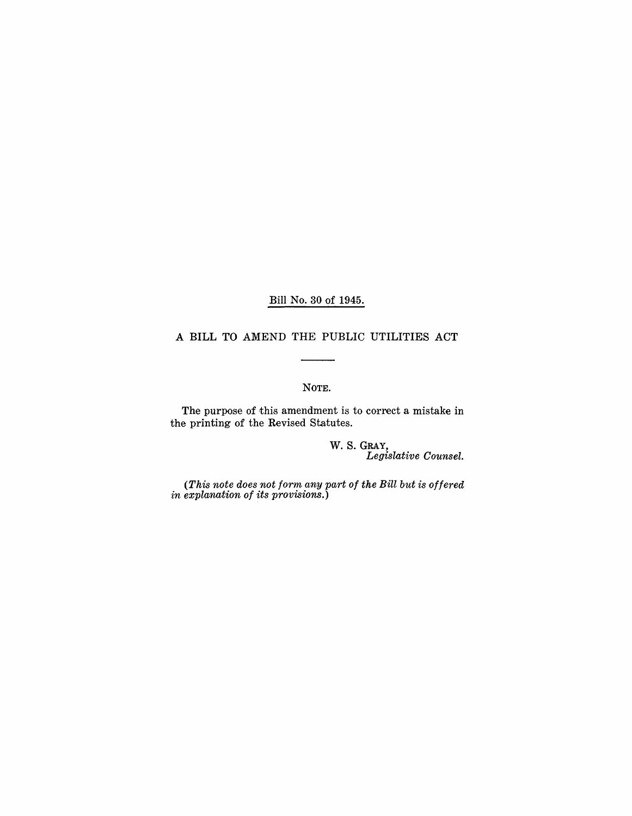Bill No. 30 of 1945.

### A BILL TO AMEND THE PUBLIC UTILITIES ACT

### NOTE.

The purpose of this amendment is to correct a mistake in the printing of the Revised Statutes.

> W. S. GRAY, *Legislative Counsel.*

*(This note does not form any part of the Bill but is offered in explanation of its provisions.)*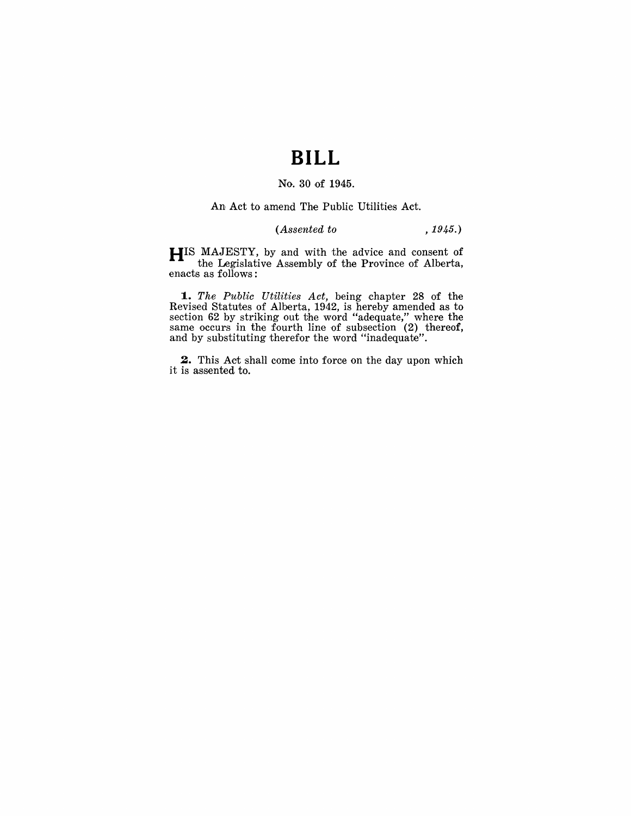# **BILL**

#### No. 30 of 1945.

An Act to amend The Public Utilities Act.

## *(Assented to* , 1945.)

HIS MAJESTY, by and with the advice and consent of the Legislative Assembly of the Province of Alberta, enacts as follows:

1. The Public Utilities Act, being chapter 28 of the Revised Statutes of Alberta, 1942, is hereby amended as to section 62 by striking out the word "adequate," where the same occurs in the fourth line of subsection (2) thereof, and by substituting therefor the word "inadequate".

2. This Act shall come into force on the day upon which it is assented to.